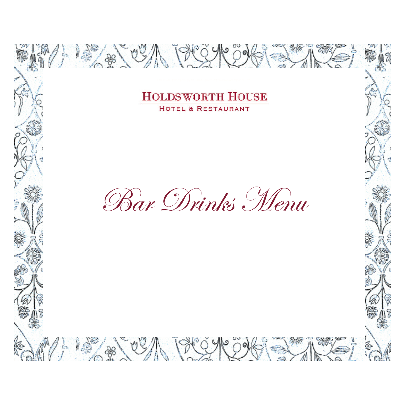**ACCALLES ANDER** 

 $\sqrt[3]{2}$  ,  $\sqrt[3]{2}$  ,  $\sqrt[3]{2}$  ,  $\sqrt[3]{2}$  ,  $\sqrt[3]{2}$ 

 $\frac{1}{2}$ 

Bar Drinks Menu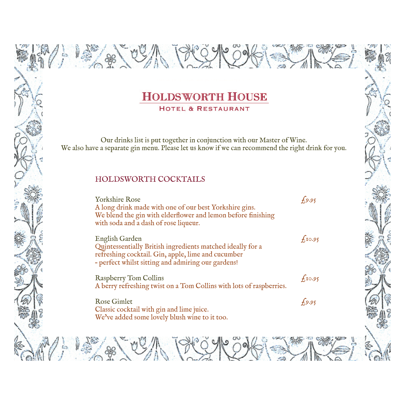Our drinks list is put together in conjunction with our Master of Wine. We also have a separate gin menu. Please let us know if we can recommend the right drink for you.

#### HOLDSWORTH COCKTAILS

**" 人" " "** 

 $\frac{1}{l}$ 

 $\left( \frac{1}{2} \right)$ 

| <b>Yorkshire Rose</b><br>A long drink made with one of our best Yorkshire gins.<br>We blend the gin with elderflower and lemon before finishing<br>with soda and a dash of rose liqueur. | 6.95               |
|------------------------------------------------------------------------------------------------------------------------------------------------------------------------------------------|--------------------|
| English Garden<br>Quintessentially British ingredients matched ideally for a<br>refreshing cocktail. Gin, apple, lime and cucumber<br>- perfect whilst sitting and admiring our gardens! | f <sub>10.95</sub> |
| <b>Raspberry Tom Collins</b><br>A berry refreshing twist on a Tom Collins with lots of raspberries.                                                                                      | f <sub>10.95</sub> |
| <b>Rose Gimlet</b><br>Classic cocktail with gin and lime juice.<br>We've added some lovely blush wine to it too.                                                                         | 6.95               |

PCQY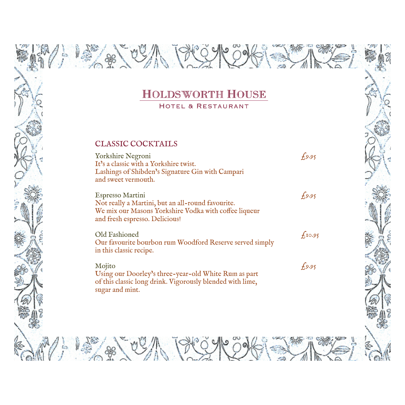#### CLASSIC COCKTAILS

A) 13 28 00 1 19 19 19

Yorkshire Negroni  $\epsilon_{9.95}$ It's a classic with a Yorkshire twist. Lashings of Shibden's Signature Gin with Campari and sweet vermouth.

**ARTISTA PRESHE** 

Espresso Martini  $f_9.95$ Not really a Martini, but an all-round favourite. We mix our Masons Yorkshire Vodka with coffee liqueur and fresh espresso. Delicious!

Old Fashioned  $f_{10.95}$ Our favourite bourbon rum Woodford Reserve served simply in this classic recipe.

Mojito  $f_{9.95}$ Using our Doorley's three-year-old White Rum as part of this classic long drink. Vigorously blended with lime, sugar and mint.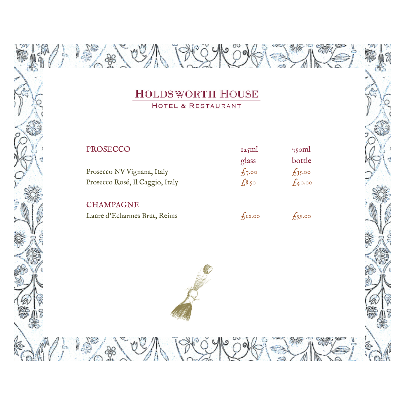**Architecture** 

| PROSECCO                        | 125ml      | $75$ oml    |
|---------------------------------|------------|-------------|
|                                 | glass      | bottle      |
| Prosecco NV Vignana, Italy      | $f_{7.00}$ | $f_35.00$   |
| Prosecco Rosé, Il Caggio, Italy | $f_{3.50}$ | $f_{40.00}$ |
|                                 |            |             |

**CHAMPAGNE** Laure d'Echarmes Brut, Reims  $f_{12.00}$   $f_{59.00}$ 

**Parted Bread** 

 $\frac{1}{2}$   $\frac{1}{2}$   $\frac{1}{2}$ 



 $\frac{1}{2}$ 

ħ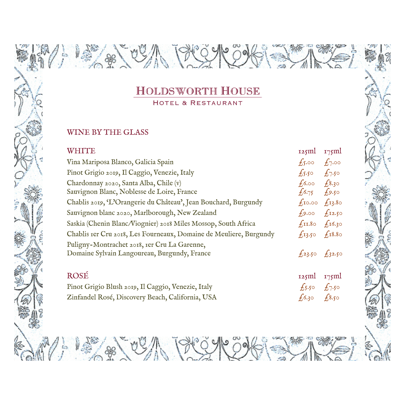**ARCHITECT** 

HOTEL & RESTAURANT

#### WINE BY THE GLASS

i.

 $\frac{1}{l}$ 

 $\frac{1}{2}$ 

| <b>WHITE</b>                                                                                 | 125ml                   | $175$ ml    |
|----------------------------------------------------------------------------------------------|-------------------------|-------------|
| Vina Mariposa Blanco, Galicia Spain                                                          | $f_5.00 f_7.00$         |             |
| Pinot Grigio 2019, Il Caggio, Venezie, Italy                                                 | $f_{550}$ $f_{750}$     |             |
| Chardonnay 2020, Santa Alba, Chile (v)                                                       | $f_0$ 6.00 $f_0$ 8.30   |             |
| Sauvignon Blanc, Noblesse de Loire, France                                                   | $f_16.75$               | $f_{.9.50}$ |
| Chablis 2019, 'L'Orangerie du Château', Jean Bouchard, Burgundy                              | $f_1$ 10.00 $f_1$ 13.80 |             |
| Sauvignon blanc 2020, Marlborough, New Zealand                                               | 49.00                   | $f_{12.50}$ |
| Saskia (Chenin Blanc/Viognier) 2018 Miles Mossop, South Africa                               | $f_{11.80}$ $f_{16.30}$ |             |
| Chablis rer Cru 2018, Les Fourneaux, Domaine de Meuliere, Burgundy                           | $f_{13.50}$ $f_{18.80}$ |             |
| Puligny-Montrachet 2018, Ier Cru La Garenne,<br>Domaine Sylvain Langoureau, Burgundy, France | $f_{23.50}$ $f_{32.50}$ |             |
| <b>ROSÉ</b>                                                                                  | 125ml                   | $175$ ml    |
| Pinot Grigio Blush 2019, Il Caggio, Venezie, Italy                                           | $f_{5.50}$ $f_{7.50}$   |             |
| Zinfandel Rosé, Discovery Beach, California, USA                                             | 6.30                    | £8.50       |

1 2 2 2 3 3 3 4 4 5 4 6 7 8 1 2 3 4 5 4 6 7 8 9 1 2 3 4 7 8 1 9 1 2 9 1 2 3 4 8 1 2 9 1 2 3 4 1 2 3 4 1 2 3 4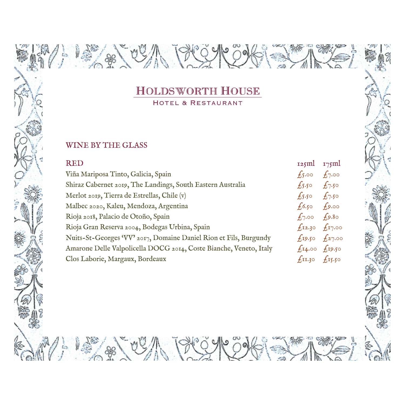**Algo** 

#### WINE BY THE GLASS

Êз,

 $\frac{1}{2}$ 

**ARTISTS** 

| <b>RED</b>                                                         | 125ml                   | 175ml          |
|--------------------------------------------------------------------|-------------------------|----------------|
| Viña Mariposa Tinto, Galicia, Spain                                | $f_{5.00}$              | $f_7.00$       |
| Shiraz Cabernet 2019, The Landings, South Eastern Australia        | $\sqrt{5.50}$           | $f_{7.50}$     |
| Merlot 2019, Tierra de Estrellas, Chile (v)                        | $f_5$ 50                | $f_{7.50}$     |
| Malbec 2020, Kaleu, Mendoza, Argentina                             | 6.50                    | $f_{9.00}$     |
| Rioja 2018, Palacio de Otoño, Spain                                | $f_{7.00}$              | $f_{9.8\circ}$ |
| Rioja Gran Reserva 2004, Bodegas Urbina, Spain                     | $f_{12.30}$ $f_{17.00}$ |                |
| Nuits-St-Georges 'VV' 2017, Domaine Daniel Rion et Fils, Burgundy  | $f_19.50 f_27.00$       |                |
| Amarone Delle Valpolicella DOCG 2014, Coste Bianche, Veneto, Italy | $f_{14.00}$ $f_{19.50}$ |                |
| Clos Laborie, Margaux, Bordeaux                                    | $\overline{f}$ II.30    | $f_{15.50}$    |
|                                                                    |                         |                |

**ARACTES AND THE STAR**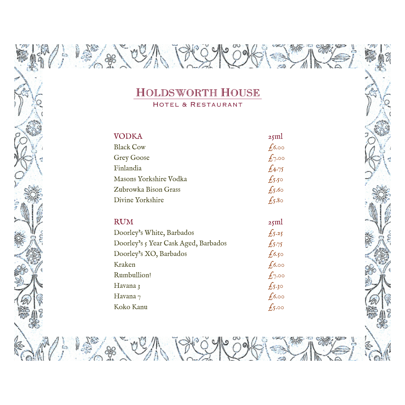W

E

 $8000$ 

ija.<br>T

 $\sqrt[n]{\frac{1}{n}}$ 

š

HOTEL & RESTAURANT

| <b>VODKA</b>           | 25ml           |
|------------------------|----------------|
| <b>Black Cow</b>       | $f_{0.00}$     |
| <b>Grey Goose</b>      | $f_{7.00}$     |
| Finlandia              | $f_{4.75}$     |
| Masons Yorkshire Vodka | $f_{5.5\circ}$ |
| Zubrowka Bison Grass   | $f_{5.60}$     |
| Divine Yorkshire       | $f_5.8\circ$   |
|                        |                |
| <b>RUM</b>             | 251            |

| Doorley's White, Barbados            | $f_{5.25}$ |
|--------------------------------------|------------|
| Doorley's 5 Year Cask Aged, Barbados | E5.75      |
| Doorley's XO, Barbados               | $f_0.50$   |
| Kraken                               | $f_{0.00}$ |
| Rumbullion!                          | $f_{7.00}$ |
| Havana 3                             | $f_{5,30}$ |
| Havana $_7$                          | $f_{0.00}$ |
| Koko Kanu                            | $f_{5.00}$ |

**A A A BASA**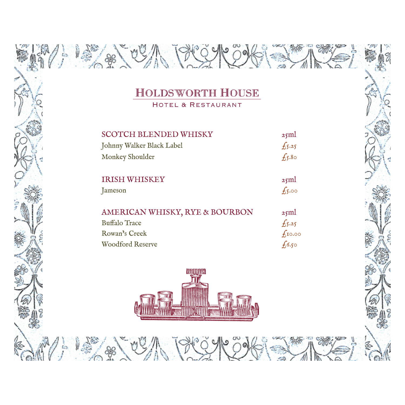$8000$ 

15 8 09

 $\sqrt{\frac{1}{2}}$ 

Êз,

ş

S

HOTEL & RESTAURANT

| <b>SCOTCH BLENDED WHISKY</b>   | 25ml             |
|--------------------------------|------------------|
| Johnny Walker Black Label      | $f_{5.25}$       |
| Monkey Shoulder                | $f_{5.8\circ}$   |
| <b>IRISH WHISKEY</b>           | 25ml             |
| Jameson                        | $f_{5.00}$       |
| AMERICAN WHISKY, RYE & BOURBON | 25ml             |
| <b>Buffalo Trace</b>           | $f_{5.25}$       |
| Rowan's Creek                  | $f_{\rm I}$ 0.00 |
| <b>Woodford Reserve</b>        | ~<br>£6.50       |

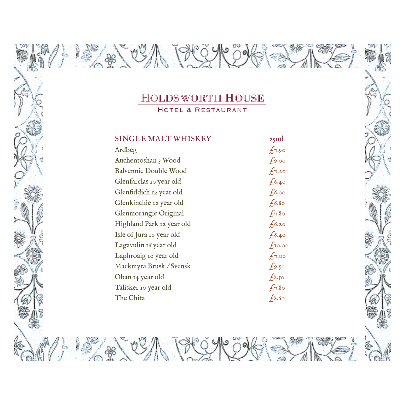**ABORY AND ARRIVE** 

SINGLE MALT WHISKEY 25ml Ardbeg  $f_{7.90}$ Auchentoshan 3 Wood  $f_{9.00}$ Balvennie Double Wood  $f_{7.20}$ Glenfarclas 10 year old  $f_{0.40}$ Glenfiddich 12 year old  $f_{0.00}$ Glenkinchie 12 year old  $f_{6.80}$ Glenmorangie Original  $f_{7.80}$ Highland Park 12 year old  $f_{6.20}$ Isle of Jura 10 year old  $f_{6.40}$ Lagavulin 16 year old  $f_{10.00}$ Laphroaig 10 year old  $f_{7.00}$ Mackmyra Brusk / Svensk  $f_{9.50}$ Oban 14 year old  $f_{8.50}$ Talisker 10 year old  $f_{7.80}$ The Chita  $f_{8.60}$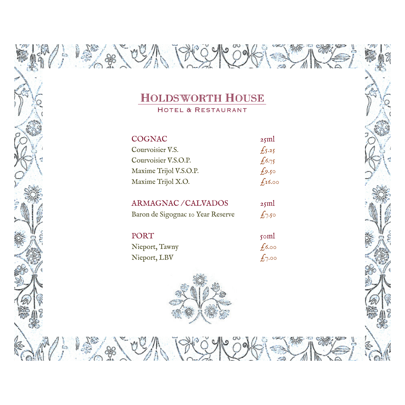美貌人的

1第一部人的

 $\frac{1}{2}$ 

ħ

HOTEL & RESTAURANT

| <b>COGNAC</b>          | 25ml       |
|------------------------|------------|
| Courvoisier V.S.       | $f_5.25$   |
| Courvoisier V.S.O.P.   | $f_{0.75}$ |
| Maxime Trijol V.S.O.P. | $f_{9.50}$ |
| Maxime Trijol X.O.     | $f_1$ 6.00 |
|                        |            |

| <b>ARMAGNAC/CALVADOS</b>          | $25$ ml    |
|-----------------------------------|------------|
| Baron de Sigognac Io Year Reserve | $f_{7.50}$ |

| PORT           | $\gamma$ oml |
|----------------|--------------|
| Nieport, Tawny | $f_{0.00}$   |

Nieport, LBV  $f_{7.00}$ 

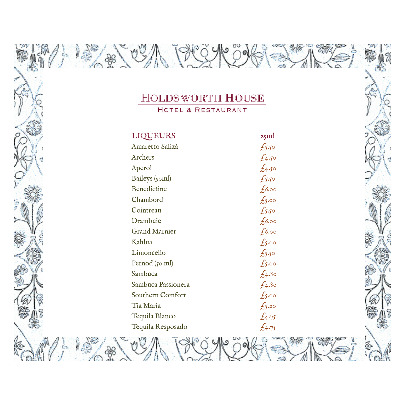۱o

沙伦

**SINE** 

×8

H

m

 $\frac{1}{2}$   $\frac{1}{2}$   $\frac{1}{2}$ 

 $\frac{1}{L}$ 

Ş

â

 $\mathbb{Z}_I$ 

"美"的

HOTEL & RESTAURANT

| <b>LIQUEURS</b>       | 25ml            |
|-----------------------|-----------------|
| Amaretto Salizà       | $f_{5.5^\circ}$ |
| Archers               | $f_{4.50}$      |
| Aperol                | $f_{4.50}$      |
| Baileys (50ml)        | $f_{550}$       |
| Benedictine           | 6.00            |
| Chambord              | $f_{5.00}$      |
| Cointreau             | $f_{550}$       |
| Drambuie              | $f_0.00$        |
| <b>Grand Marnier</b>  | 6.00            |
| Kahlua                | $f_{5}$ .00     |
| Limoncello            | $f_{5.5^\circ}$ |
| Pernod $(s \circ ml)$ | $f_{5.00}$      |
| Sambuca               | $f_{.4.80}$     |
| Sambuca Passionera    | $f_{4.8\circ}$  |
| Southern Comfort      | $f_{5.00}$      |
| Tia Maria             | $f_{5.20}$      |
| Tequila Blanco        | $f_{4:75}$      |
| Tequila Resposado     | £4.75           |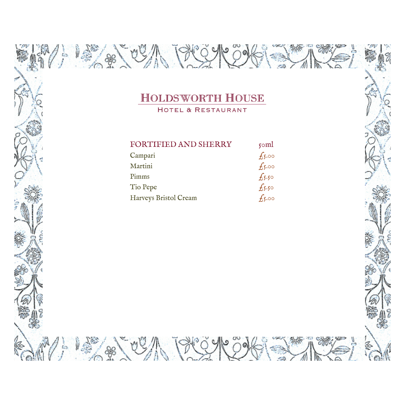AR

**ARTISTS** 

**ARACTES AND THE STAR** 

ilea.<br>T

 $\sqrt{\frac{1}{2}}$ 

W

HOTEL & RESTAURANT

| <b>FORTIFIED AND SHERRY</b> | $\gamma$ oml   |
|-----------------------------|----------------|
| Campari                     | $f_{5.00}$     |
| Martini                     | $f_{5.00}$     |
| Pimms                       | $f_{5.5\circ}$ |
| Tio Pepe                    | $f_{5.5\circ}$ |
| Harveys Bristol Cream       | $f_{5.00}$     |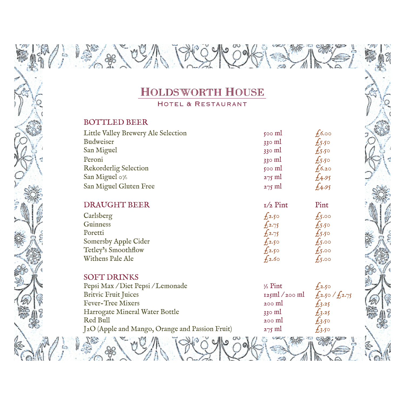HOTEL & RESTAURANT

#### BOTTLED BEER

 $\frac{1}{2}$ 

| Little Valley Brewery Ale Selection | $500 \text{ ml}$ | 6.00           |
|-------------------------------------|------------------|----------------|
| Budweiser                           | $330$ ml         | $f_{5.5\circ}$ |
| San Miguel                          | $330$ ml         | $f_{550}$      |
| Peroni                              | $330$ ml         | $f_{5.5\circ}$ |
| Rekorderlig Selection               | $500$ ml         | $f_0(6.20)$    |
| San Miguel 0%                       | $275$ ml         | £4.95          |
| San Miguel Gluten Free              | $275$ ml         | £4.95          |

### DRAUGHT BEER 1/2 Pint Pint

**A SOLONY PROP** 

| $f_{2.50}$ | $f_{5.00}$     |
|------------|----------------|
| $f_{2.75}$ | $f_{5.5\circ}$ |
| $f_{2.75}$ | $f_{550}$      |
| $f_{2.50}$ | $f_{5.00}$     |
| $f_2.50$   | $f_{5.00}$     |
| $f_{2.60}$ | $f_{5.00}$     |
|            |                |

#### SOFT DRINKS

| Pepsi Max / Diet Pepsi / Lemonade               | $\frac{1}{2}$ Pint | 4.2.50          |
|-------------------------------------------------|--------------------|-----------------|
| <b>Britvic Fruit Juices</b>                     | $125$ ml $/200$ ml | $f_2.50/f_2.75$ |
| Fever-Tree Mixers                               | $200$ m            | $f_3.25$        |
| Harrogate Mineral Water Bottle                  | $330$ m            | $f_3.25$        |
| Red Bull                                        | $200$ m            | $f_3$ .50       |
| J2O (Apple and Mango, Orange and Passion Fruit) | $275$ ml           | $f_3.50$        |
|                                                 |                    |                 |

ù,

 $\frac{1}{2}$